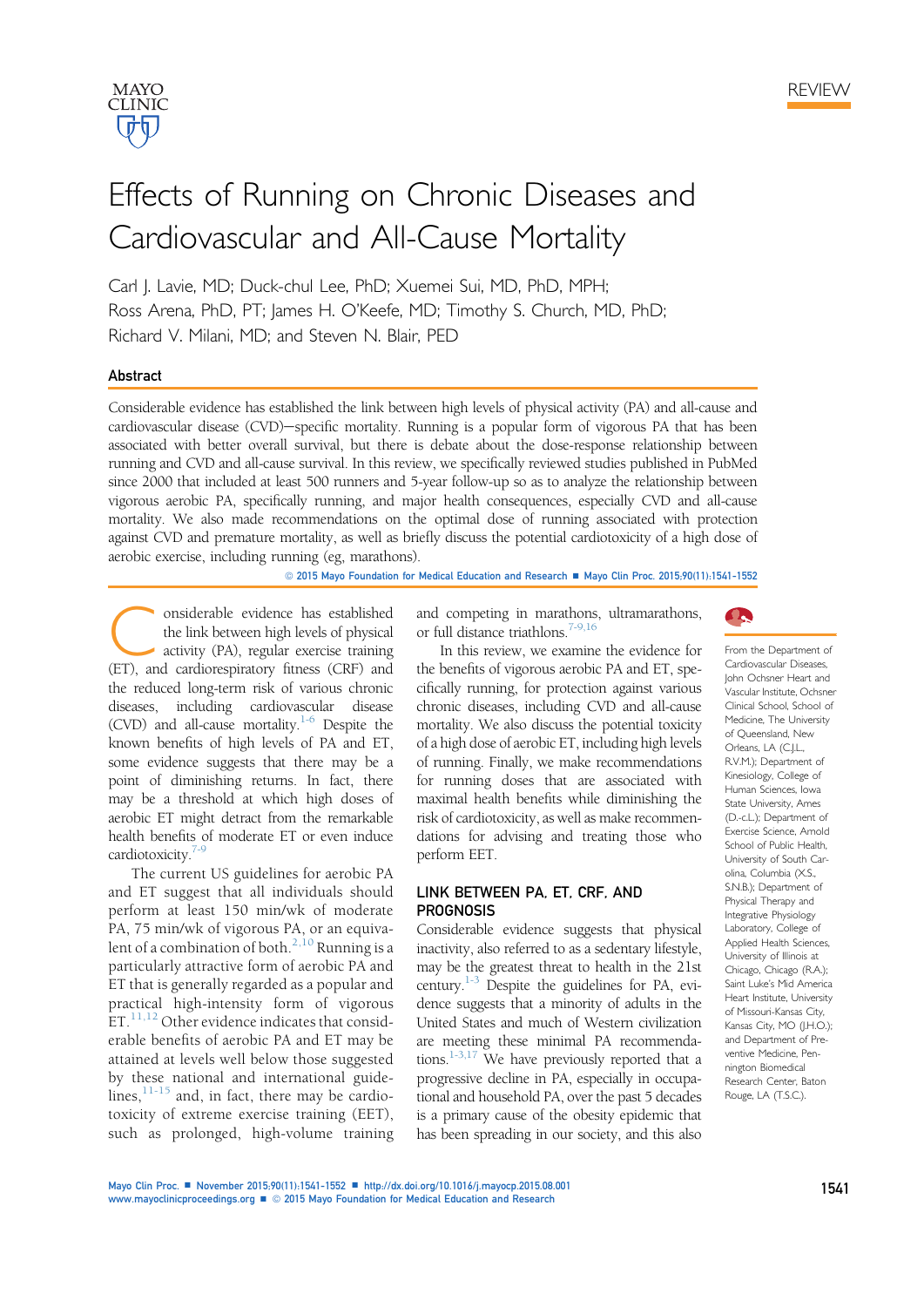

# Effects of Running on Chronic Diseases and Cardiovascular and All-Cause Mortality

Carl J. Lavie, MD; Duck-chul Lee, PhD; Xuemei Sui, MD, PhD, MPH; Ross Arena, PhD, PT; James H. O'Keefe, MD; Timothy S. Church, MD, PhD; Richard V. Milani, MD; and Steven N. Blair, PED

#### Abstract

Considerable evidence has established the link between high levels of physical activity (PA) and all-cause and cardiovascular disease (CVD)-specific mortality. Running is a popular form of vigorous PA that has been associated with better overall survival, but there is debate about the dose-response relationship between running and CVD and all-cause survival. In this review, we specifically reviewed studies published in PubMed since 2000 that included at least 500 runners and 5-year follow-up so as to analyze the relationship between vigorous aerobic PA, specifically running, and major health consequences, especially CVD and all-cause mortality. We also made recommendations on the optimal dose of running associated with protection against CVD and premature mortality, as well as briefly discuss the potential cardiotoxicity of a high dose of aerobic exercise, including running (eg, marathons).

© 2015 Mayo Foundation for Medical Education and Research ■ Mayo Clin Proc. 2015;90(11):1541-1552

Considerable evidence has established<br>the link between high levels of physical<br>activity (PA), regular exercise training<br>(FT) and cardiorespiratory fitness (CRF) and the link between high levels of physical (ET), and cardiorespiratory fitness (CRF) and the reduced long-term risk of various chronic diseases, including cardiovascular disease (CVD) and all-cause mortality.<sup>1-6</sup> Despite the known benefits of high levels of PA and ET, some evidence suggests that there may be a point of diminishing returns. In fact, there may be a threshold at which high doses of aerobic ET might detract from the remarkable health benefits of moderate ET or even induce cardiotoxicity.<sup>7-9</sup>

The current US guidelines for aerobic PA and ET suggest that all individuals should perform at least 150 min/wk of moderate PA, 75 min/wk of vigorous PA, or an equivalent of a combination of both.<sup>2,10</sup> Running is a particularly attractive form of aerobic PA and ET that is generally regarded as a popular and practical high-intensity form of vigorous  $ET.^{11,12}$  Other evidence indicates that considerable benefits of aerobic PA and ET may be attained at levels well below those suggested by these national and international guidelines, $11-15$  and, in fact, there may be cardiotoxicity of extreme exercise training (EET), such as prolonged, high-volume training and competing in marathons, ultramarathons, or full distance triathlons.<sup>7-9,16</sup>



From the Department of

In this review, we examine the evidence for the benefits of vigorous aerobic PA and ET, specifically running, for protection against various chronic diseases, including CVD and all-cause mortality. We also discuss the potential toxicity of a high dose of aerobic ET, including high levels of running. Finally, we make recommendations for running doses that are associated with maximal health benefits while diminishing the risk of cardiotoxicity, as well as make recommendations for advising and treating those who perform EET.

## LINK BETWEEN PA, ET, CRF, AND **PROGNOSIS**

Considerable evidence suggests that physical inactivity, also referred to as a sedentary lifestyle, may be the greatest threat to health in the 21st century. $1-3$  Despite the guidelines for PA, evidence suggests that a minority of adults in the United States and much of Western civilization are meeting these minimal PA recommendations.<sup>1-3,17</sup> We have previously reported that a progressive decline in PA, especially in occupational and household PA, over the past 5 decades is a primary cause of the obesity epidemic that has been spreading in our society, and this also Cardiovascular Diseases, John Ochsner Heart and Vascular Institute, Ochsner Clinical School, School of Medicine, The University of Queensland, New Orleans, LA (C.J.L., R.V.M.); Department of Kinesiology, College of Human Sciences, Iowa State University, Ames (D.-c.L.); Department of Exercise Science, Arnold School of Public Health University of South Carolina, Columbia (X.S., S.N.B.); Department of Physical Therapy and Integrative Physiology Laboratory, College of Applied Health Sciences, University of Illinois at Chicago, Chicago (R.A.); Saint Luke's Mid America Heart Institute, University of Missouri-Kansas City, Kansas City, MO (J.H.O.); and Department of Preventive Medicine, Pennington Biomedical Research Center, Baton Rouge, LA (T.S.C.).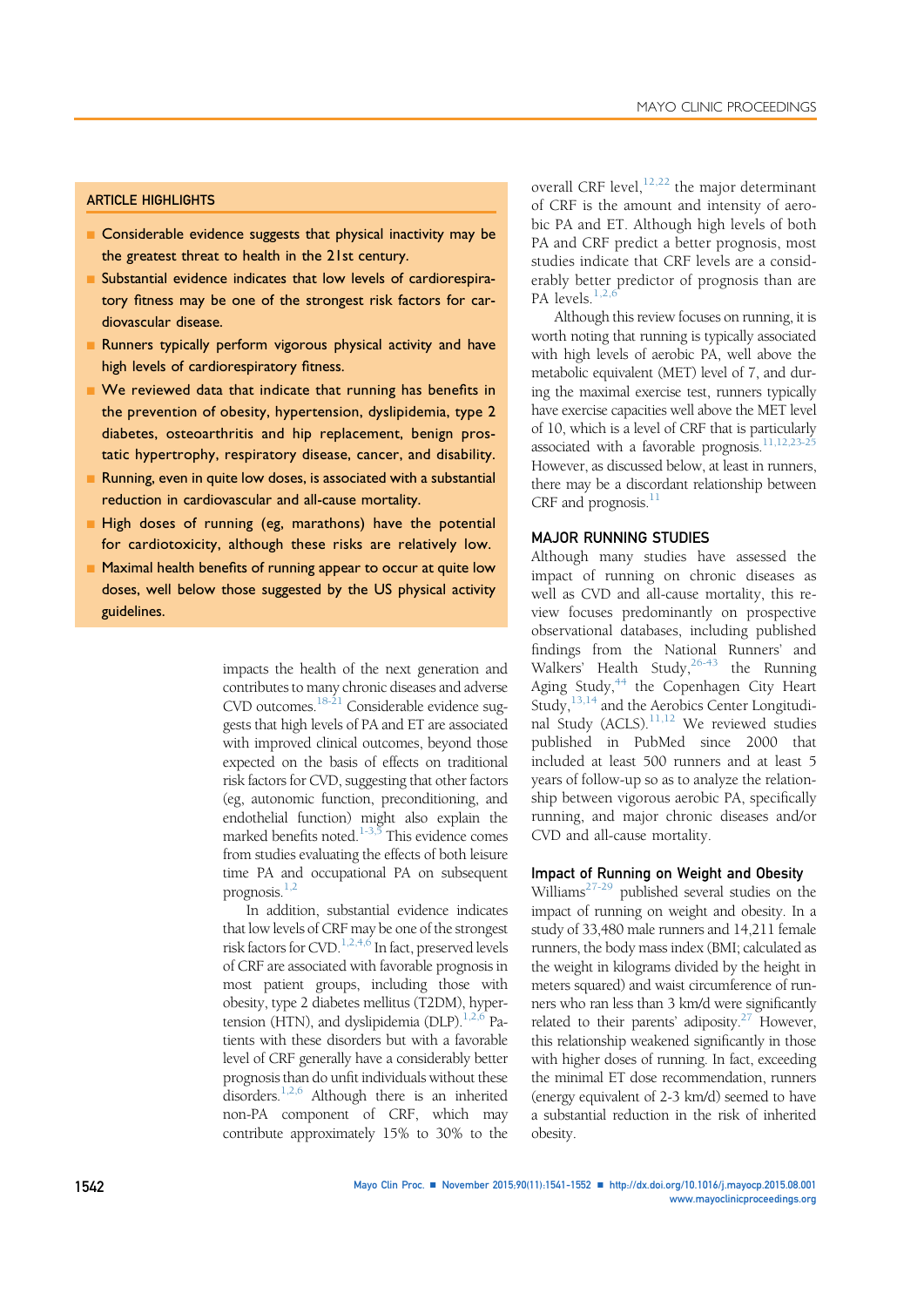#### ARTICLE HIGHLIGHTS

- **n** Considerable evidence suggests that physical inactivity may be the greatest threat to health in the 21st century.
- n Substantial evidence indicates that low levels of cardiorespiratory fitness may be one of the strongest risk factors for cardiovascular disease.
- **n** Runners typically perform vigorous physical activity and have high levels of cardiorespiratory fitness.
- We reviewed data that indicate that running has benefits in the prevention of obesity, hypertension, dyslipidemia, type 2 diabetes, osteoarthritis and hip replacement, benign prostatic hypertrophy, respiratory disease, cancer, and disability.
- Running, even in quite low doses, is associated with a substantial reduction in cardiovascular and all-cause mortality.
- High doses of running (eg, marathons) have the potential for cardiotoxicity, although these risks are relatively low.
- n Maximal health benefits of running appear to occur at quite low doses, well below those suggested by the US physical activity guidelines.

impacts the health of the next generation and contributes to many chronic diseases and adverse CVD outcomes.18-21 Considerable evidence suggests that high levels of PA and ET are associated with improved clinical outcomes, beyond those expected on the basis of effects on traditional risk factors for CVD, suggesting that other factors (eg, autonomic function, preconditioning, and endothelial function) might also explain the marked benefits noted.<sup>1-3,5</sup> This evidence comes from studies evaluating the effects of both leisure time PA and occupational PA on subsequent prognosis. $1,2$ 

In addition, substantial evidence indicates that low levels of CRF may be one of the strongest risk factors for  $CVD$ .<sup>1,2,4,6</sup> In fact, preserved levels of CRF are associated with favorable prognosis in most patient groups, including those with obesity, type 2 diabetes mellitus (T2DM), hypertension (HTN), and dyslipidemia (DLP). $^{1,2,6}$  Patients with these disorders but with a favorable level of CRF generally have a considerably better prognosis than do unfit individuals without these disorders.1,2,6 Although there is an inherited non-PA component of CRF, which may contribute approximately 15% to 30% to the

overall CRF level,  $12,22$  the major determinant of CRF is the amount and intensity of aerobic PA and ET. Although high levels of both PA and CRF predict a better prognosis, most studies indicate that CRF levels are a considerably better predictor of prognosis than are PA levels. $1,2$ ,

Although this review focuses on running, it is worth noting that running is typically associated with high levels of aerobic PA, well above the metabolic equivalent (MET) level of 7, and during the maximal exercise test, runners typically have exercise capacities well above the MET level of 10, which is a level of CRF that is particularly associated with a favorable prognosis.<sup>11,12,23-25</sup> However, as discussed below, at least in runners, there may be a discordant relationship between CRF and prognosis.<sup>11</sup>

## MAJOR RUNNING STUDIES

Although many studies have assessed the impact of running on chronic diseases as well as CVD and all-cause mortality, this review focuses predominantly on prospective observational databases, including published findings from the National Runners' and Walkers' Health Study,  $26-43$  the Running Aging Study,<sup>44</sup> the Copenhagen City Heart Study,  $^{13,14}$  and the Aerobics Center Longitudinal Study  $(ACLS)$ ,  $^{11,12}$  We reviewed studies published in PubMed since 2000 that included at least 500 runners and at least 5 years of follow-up so as to analyze the relationship between vigorous aerobic PA, specifically running, and major chronic diseases and/or CVD and all-cause mortality.

#### Impact of Running on Weight and Obesity

Williams<sup>27-29</sup> published several studies on the impact of running on weight and obesity. In a study of 33,480 male runners and 14,211 female runners, the body mass index (BMI; calculated as the weight in kilograms divided by the height in meters squared) and waist circumference of runners who ran less than 3 km/d were significantly related to their parents' adiposity. $27$  However, this relationship weakened significantly in those with higher doses of running. In fact, exceeding the minimal ET dose recommendation, runners (energy equivalent of 2-3 km/d) seemed to have a substantial reduction in the risk of inherited obesity.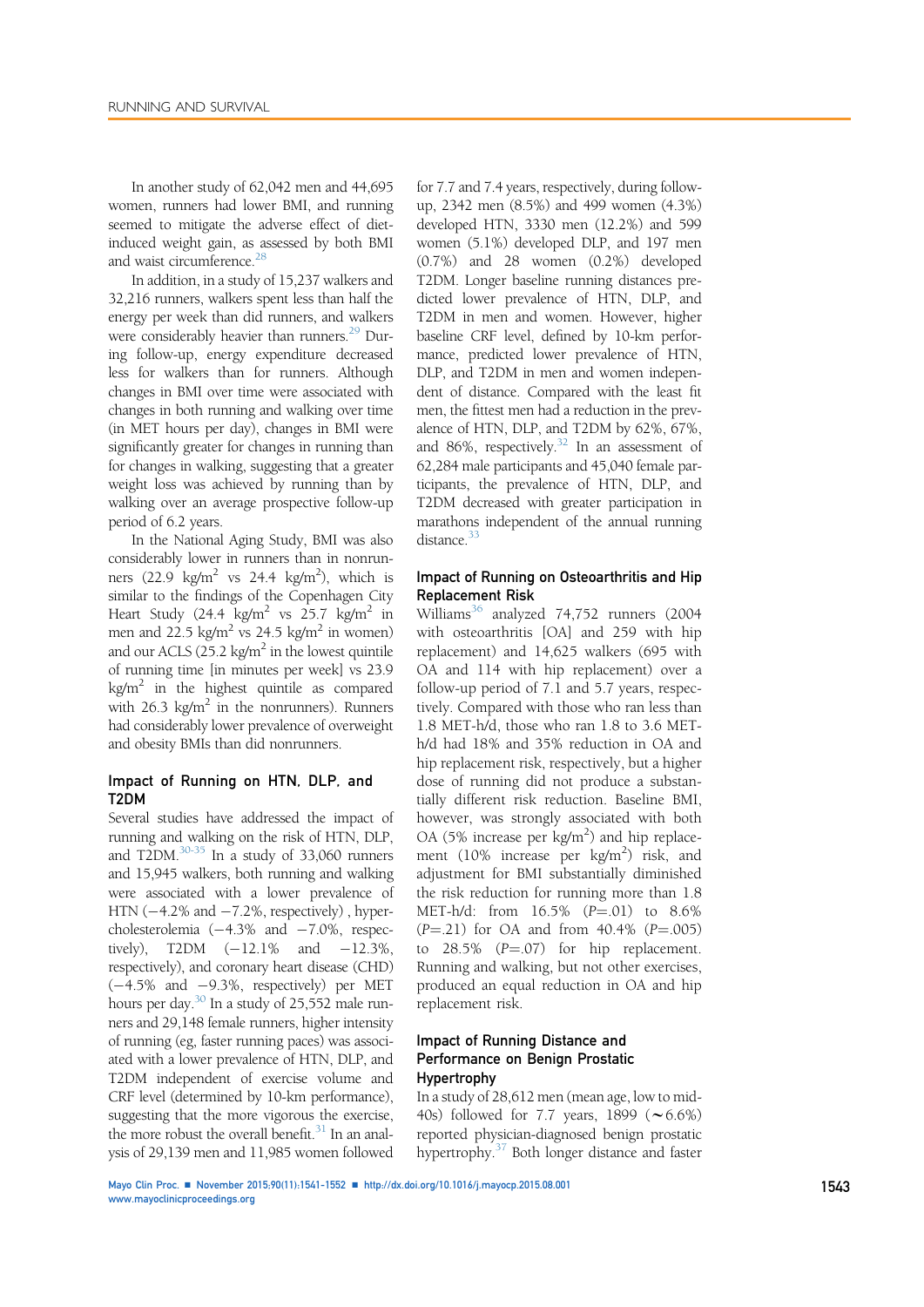In another study of 62,042 men and 44,695 women, runners had lower BMI, and running seemed to mitigate the adverse effect of dietinduced weight gain, as assessed by both BMI and waist circumference.<sup>28</sup>

In addition, in a study of 15,237 walkers and 32,216 runners, walkers spent less than half the energy per week than did runners, and walkers were considerably heavier than runners.<sup>29</sup> During follow-up, energy expenditure decreased less for walkers than for runners. Although changes in BMI over time were associated with changes in both running and walking over time (in MET hours per day), changes in BMI were significantly greater for changes in running than for changes in walking, suggesting that a greater weight loss was achieved by running than by walking over an average prospective follow-up period of 6.2 years.

In the National Aging Study, BMI was also considerably lower in runners than in nonrunners  $(22.9 \text{ kg/m}^2 \text{ vs } 24.4 \text{ kg/m}^2)$ , which is similar to the findings of the Copenhagen City Heart Study (24.4 kg/m<sup>2</sup> vs 25.7 kg/m<sup>2</sup> in men and 22.5 kg/m<sup>2</sup> vs 24.5 kg/m<sup>2</sup> in women) and our ACLS (25.2 kg/m<sup>2</sup> in the lowest quintile of running time [in minutes per week] vs 23.9  $kg/m<sup>2</sup>$  in the highest quintile as compared with  $26.3 \text{ kg/m}^2$  in the nonrunners). Runners had considerably lower prevalence of overweight and obesity BMIs than did nonrunners.

#### Impact of Running on HTN, DLP, and T2DM

Several studies have addressed the impact of running and walking on the risk of HTN, DLP, and T2DM. $30-35$  In a study of 33,060 runners and 15,945 walkers, both running and walking were associated with a lower prevalence of HTN  $(-4.2\%$  and  $-7.2\%$ , respectively), hypercholesterolemia  $(-4.3\%$  and  $-7.0\%$ , respectively), T2DM  $(-12.1\%$  and  $-12.3\%$ , respectively), and coronary heart disease (CHD)  $(-4.5\%$  and  $-9.3\%$ , respectively) per MET hours per day.<sup>30</sup> In a study of 25,552 male runners and 29,148 female runners, higher intensity of running (eg, faster running paces) was associated with a lower prevalence of HTN, DLP, and T2DM independent of exercise volume and CRF level (determined by 10-km performance), suggesting that the more vigorous the exercise, the more robust the overall benefit. $31$  In an analysis of 29,139 men and 11,985 women followed

for 7.7 and 7.4 years, respectively, during followup, 2342 men (8.5%) and 499 women (4.3%) developed HTN, 3330 men (12.2%) and 599 women (5.1%) developed DLP, and 197 men (0.7%) and 28 women (0.2%) developed T2DM. Longer baseline running distances predicted lower prevalence of HTN, DLP, and T2DM in men and women. However, higher baseline CRF level, defined by 10-km performance, predicted lower prevalence of HTN, DLP, and T2DM in men and women independent of distance. Compared with the least fit men, the fittest men had a reduction in the prevalence of HTN, DLP, and T2DM by 62%, 67%, and 86%, respectively. $32$  In an assessment of 62,284 male participants and 45,040 female participants, the prevalence of HTN, DLP, and T2DM decreased with greater participation in marathons independent of the annual running distance.<sup>33</sup>

#### Impact of Running on Osteoarthritis and Hip Replacement Risk

Williams<sup>36</sup> analyzed 74,752 runners (2004) with osteoarthritis [OA] and 259 with hip replacement) and 14,625 walkers (695 with OA and 114 with hip replacement) over a follow-up period of 7.1 and 5.7 years, respectively. Compared with those who ran less than 1.8 MET-h/d, those who ran 1.8 to 3.6 METh/d had 18% and 35% reduction in OA and hip replacement risk, respectively, but a higher dose of running did not produce a substantially different risk reduction. Baseline BMI, however, was strongly associated with both OA (5% increase per kg/m<sup>2</sup>) and hip replacement (10% increase per  $\kg/m^2$ ) risk, and adjustment for BMI substantially diminished the risk reduction for running more than 1.8 MET-h/d: from  $16.5\%$   $(P = .01)$  to 8.6%  $(P = .21)$  for OA and from 40.4%  $(P = .005)$ to  $28.5\%$   $(P=.07)$  for hip replacement. Running and walking, but not other exercises, produced an equal reduction in OA and hip replacement risk.

## Impact of Running Distance and Performance on Benign Prostatic Hypertrophy

In a study of 28,612 men (mean age, low to mid-40s) followed for 7.7 years, 1899  $(\sim 6.6\%)$ reported physician-diagnosed benign prostatic hypertrophy.37 Both longer distance and faster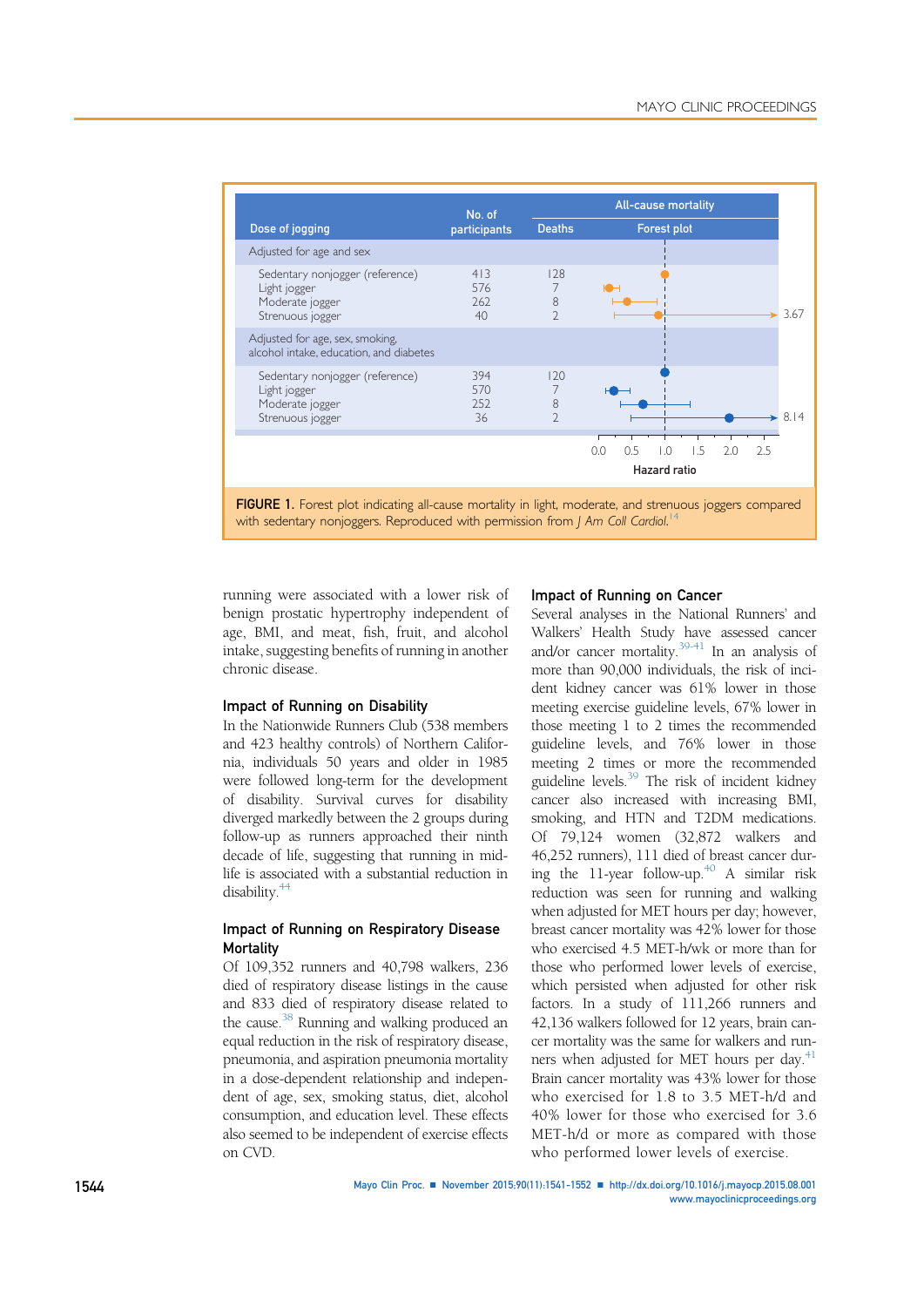| Dose of jogging                                                                        | No. of<br>participants  | <b>All-cause mortality</b>     |                                                                            |
|----------------------------------------------------------------------------------------|-------------------------|--------------------------------|----------------------------------------------------------------------------|
|                                                                                        |                         | <b>Deaths</b>                  | <b>Forest plot</b>                                                         |
| Adjusted for age and sex                                                               |                         |                                |                                                                            |
| Sedentary nonjogger (reference)<br>Light jogger<br>Moderate jogger<br>Strenuous jogger | 413<br>576<br>762<br>40 | 128<br>7<br>8<br>$\mathcal{D}$ | 3.67<br>÷                                                                  |
| Adjusted for age, sex, smoking,<br>alcohol intake, education, and diabetes             |                         |                                |                                                                            |
| Sedentary nonjogger (reference)<br>Light jogger<br>Moderate jogger<br>Strenuous jogger | 394<br>570<br>252<br>36 | 120<br>8<br>$\mathcal{D}$      | 8.14                                                                       |
|                                                                                        |                         |                                | 0.5<br>2.0<br>0.0<br>$\overline{0}$ .<br>1.5<br>2.5<br><b>Hazard ratio</b> |

FIGURE 1. Forest plot indicating all-cause mortality in light, moderate, and strenuous joggers compared with sedentary nonjoggers. Reproduced with permission from J Am Coll Cardiol.<sup>14</sup>

running were associated with a lower risk of benign prostatic hypertrophy independent of age, BMI, and meat, fish, fruit, and alcohol intake, suggesting benefits of running in another chronic disease.

## Impact of Running on Disability

In the Nationwide Runners Club (538 members and 423 healthy controls) of Northern California, individuals 50 years and older in 1985 were followed long-term for the development of disability. Survival curves for disability diverged markedly between the 2 groups during follow-up as runners approached their ninth decade of life, suggesting that running in midlife is associated with a substantial reduction in disability.<sup>44</sup>

## Impact of Running on Respiratory Disease **Mortality**

Of 109,352 runners and 40,798 walkers, 236 died of respiratory disease listings in the cause and 833 died of respiratory disease related to the cause.<sup>38</sup> Running and walking produced an equal reduction in the risk of respiratory disease, pneumonia, and aspiration pneumonia mortality in a dose-dependent relationship and independent of age, sex, smoking status, diet, alcohol consumption, and education level. These effects also seemed to be independent of exercise effects on CVD.

#### Impact of Running on Cancer

Several analyses in the National Runners' and Walkers' Health Study have assessed cancer and/or cancer mortality.<sup>39-41</sup> In an analysis of more than 90,000 individuals, the risk of incident kidney cancer was 61% lower in those meeting exercise guideline levels, 67% lower in those meeting 1 to 2 times the recommended guideline levels, and 76% lower in those meeting 2 times or more the recommended guideline levels.39 The risk of incident kidney cancer also increased with increasing BMI, smoking, and HTN and T2DM medications. Of 79,124 women (32,872 walkers and 46,252 runners), 111 died of breast cancer during the 11-year follow-up.<sup>40</sup> A similar risk reduction was seen for running and walking when adjusted for MET hours per day; however, breast cancer mortality was 42% lower for those who exercised 4.5 MET-h/wk or more than for those who performed lower levels of exercise, which persisted when adjusted for other risk factors. In a study of 111,266 runners and 42,136 walkers followed for 12 years, brain cancer mortality was the same for walkers and runners when adjusted for MET hours per day.<sup>41</sup> Brain cancer mortality was 43% lower for those who exercised for 1.8 to 3.5 MET-h/d and 40% lower for those who exercised for 3.6 MET-h/d or more as compared with those who performed lower levels of exercise.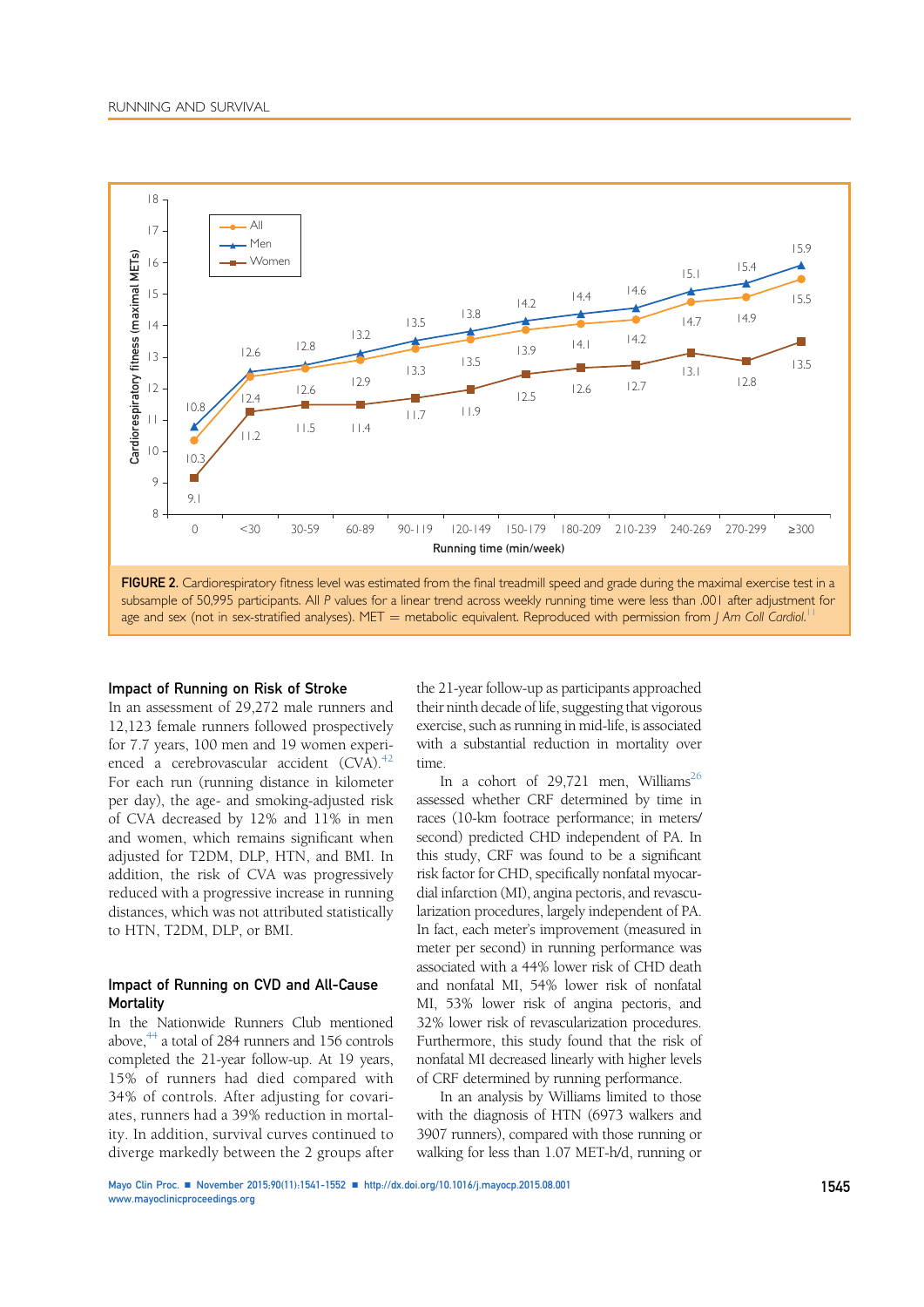

subsample of 50,995 participants. All P values for a linear trend across weekly running time were less than .001 after adjustment for age and sex (not in sex-stratified analyses). MET = metabolic equivalent. Reproduced with permission from J Am Coll Cardiol.<sup>11</sup>

#### Impact of Running on Risk of Stroke

In an assessment of 29,272 male runners and 12,123 female runners followed prospectively for 7.7 years, 100 men and 19 women experienced a cerebrovascular accident  $(CVA)^{42}$ For each run (running distance in kilometer per day), the age- and smoking-adjusted risk of CVA decreased by 12% and 11% in men and women, which remains significant when adjusted for T2DM, DLP, HTN, and BMI. In addition, the risk of CVA was progressively reduced with a progressive increase in running distances, which was not attributed statistically to HTN, T2DM, DLP, or BMI.

#### Impact of Running on CVD and All-Cause **Mortality**

In the Nationwide Runners Club mentioned above, $^{44}$  a total of 284 runners and 156 controls completed the 21-year follow-up. At 19 years, 15% of runners had died compared with 34% of controls. After adjusting for covariates, runners had a 39% reduction in mortality. In addition, survival curves continued to diverge markedly between the 2 groups after

the 21-year follow-up as participants approached their ninth decade of life, suggesting that vigorous exercise, such as running in mid-life, is associated with a substantial reduction in mortality over time.

In a cohort of 29,721 men, Williams<sup>26</sup> assessed whether CRF determined by time in races (10-km footrace performance; in meters/ second) predicted CHD independent of PA. In this study, CRF was found to be a significant risk factor for CHD, specifically nonfatal myocardial infarction (MI), angina pectoris, and revascularization procedures, largely independent of PA. In fact, each meter's improvement (measured in meter per second) in running performance was associated with a 44% lower risk of CHD death and nonfatal MI, 54% lower risk of nonfatal MI, 53% lower risk of angina pectoris, and 32% lower risk of revascularization procedures. Furthermore, this study found that the risk of nonfatal MI decreased linearly with higher levels of CRF determined by running performance.

In an analysis by Williams limited to those with the diagnosis of HTN (6973 walkers and 3907 runners), compared with those running or walking for less than 1.07 MET-h/d, running or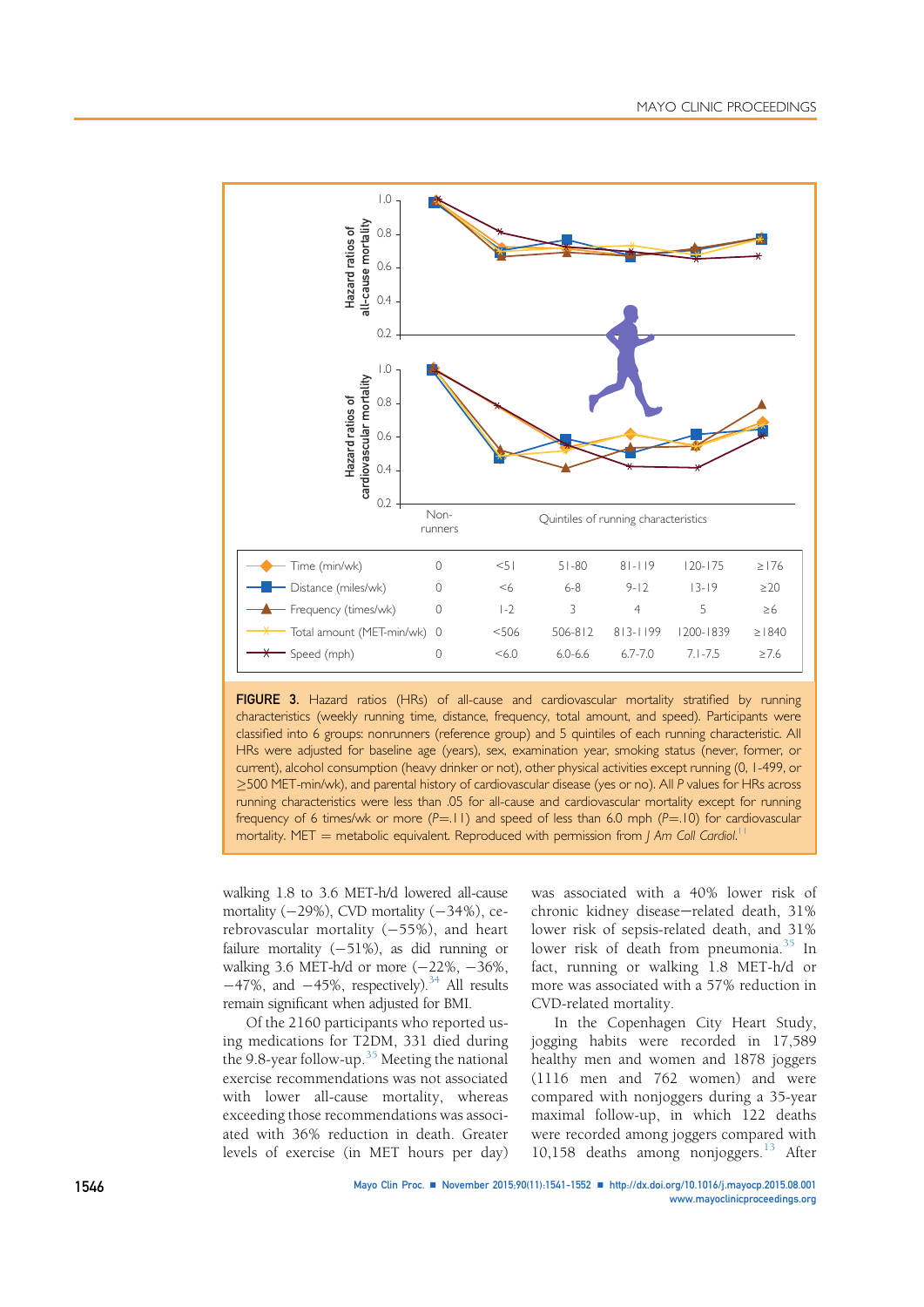

FIGURE 3. Hazard ratios (HRs) of all-cause and cardiovascular mortality stratified by running characteristics (weekly running time, distance, frequency, total amount, and speed). Participants were classified into 6 groups: nonrunners (reference group) and 5 quintiles of each running characteristic. All HRs were adjusted for baseline age (years), sex, examination year, smoking status (never, former, or current), alcohol consumption (heavy drinker or not), other physical activities except running (0, 1-499, or >500 MET-min/wk), and parental history of cardiovascular disease (yes or no). All P values for HRs across running characteristics were less than .05 for all-cause and cardiovascular mortality except for running frequency of 6 times/wk or more  $(P=.11)$  and speed of less than 6.0 mph  $(P=.10)$  for cardiovascular mortality. MET = metabolic equivalent. Reproduced with permission from J Am Coll Cardiol.<sup>11</sup>

walking 1.8 to 3.6 MET-h/d lowered all-cause mortality  $(-29\%)$ , CVD mortality  $(-34\%)$ , cerebrovascular mortality  $(-55%)$ , and heart failure mortality  $(-51\%)$ , as did running or walking 3.6 MET-h/d or more  $(-22\%, -36\%,$  $-47\%$ , and  $-45\%$ , respectively).<sup>34</sup> All results remain significant when adjusted for BMI.

Of the 2160 participants who reported using medications for T2DM, 331 died during the 9.8-year follow-up.<sup>35</sup> Meeting the national exercise recommendations was not associated with lower all-cause mortality, whereas exceeding those recommendations was associated with 36% reduction in death. Greater levels of exercise (in MET hours per day)

was associated with a 40% lower risk of chronic kidney disease-related death, 31% lower risk of sepsis-related death, and 31% lower risk of death from pneumonia.<sup>35</sup> In fact, running or walking 1.8 MET-h/d or more was associated with a 57% reduction in CVD-related mortality.

In the Copenhagen City Heart Study, jogging habits were recorded in 17,589 healthy men and women and 1878 joggers (1116 men and 762 women) and were compared with nonjoggers during a 35-year maximal follow-up, in which 122 deaths were recorded among joggers compared with 10,158 deaths among nonjoggers.<sup>13</sup> After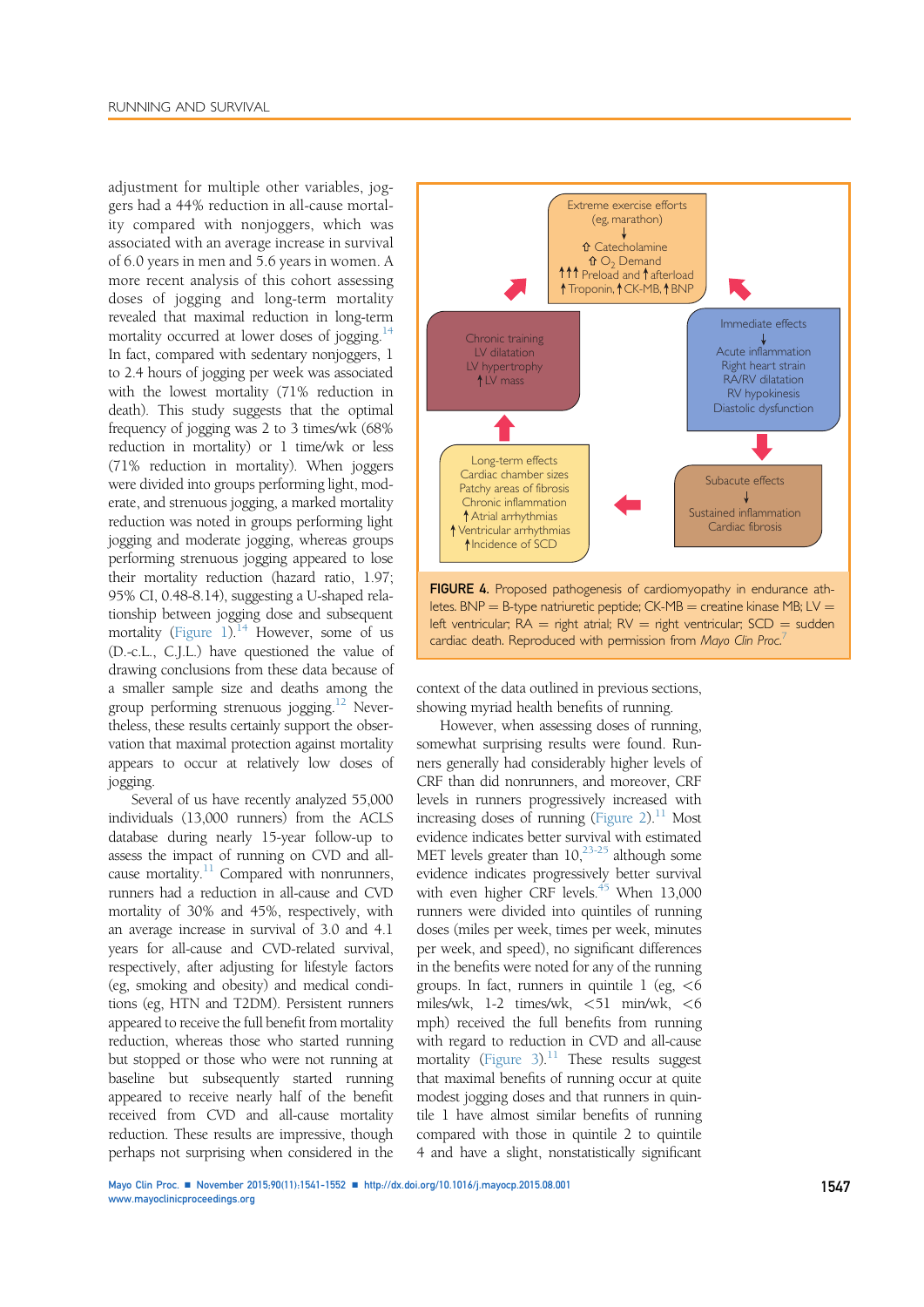adjustment for multiple other variables, joggers had a 44% reduction in all-cause mortality compared with nonjoggers, which was associated with an average increase in survival of 6.0 years in men and 5.6 years in women. A more recent analysis of this cohort assessing doses of jogging and long-term mortality revealed that maximal reduction in long-term mortality occurred at lower doses of jogging.<sup>14</sup> In fact, compared with sedentary nonjoggers, 1 to 2.4 hours of jogging per week was associated with the lowest mortality (71% reduction in death). This study suggests that the optimal frequency of jogging was 2 to 3 times/wk (68% reduction in mortality) or 1 time/wk or less (71% reduction in mortality). When joggers were divided into groups performing light, moderate, and strenuous jogging, a marked mortality reduction was noted in groups performing light jogging and moderate jogging, whereas groups performing strenuous jogging appeared to lose their mortality reduction (hazard ratio, 1.97; 95% CI, 0.48-8.14), suggesting a U-shaped relationship between jogging dose and subsequent mortality (Figure 1). $14$  However, some of us (D.-c.L., C.J.L.) have questioned the value of drawing conclusions from these data because of a smaller sample size and deaths among the group performing strenuous jogging.12 Nevertheless, these results certainly support the observation that maximal protection against mortality appears to occur at relatively low doses of jogging.

Several of us have recently analyzed 55,000 individuals (13,000 runners) from the ACLS database during nearly 15-year follow-up to assess the impact of running on CVD and allcause mortality. $11$  Compared with nonrunners, runners had a reduction in all-cause and CVD mortality of 30% and 45%, respectively, with an average increase in survival of 3.0 and 4.1 years for all-cause and CVD-related survival, respectively, after adjusting for lifestyle factors (eg, smoking and obesity) and medical conditions (eg, HTN and T2DM). Persistent runners appeared to receive the full benefit from mortality reduction, whereas those who started running but stopped or those who were not running at baseline but subsequently started running appeared to receive nearly half of the benefit received from CVD and all-cause mortality reduction. These results are impressive, though perhaps not surprising when considered in the



context of the data outlined in previous sections, showing myriad health benefits of running.

cardiac death. Reproduced with permission from Mayo Clin Proc.<sup>7</sup>

However, when assessing doses of running, somewhat surprising results were found. Runners generally had considerably higher levels of CRF than did nonrunners, and moreover, CRF levels in runners progressively increased with increasing doses of running (Figure 2).<sup>11</sup> Most evidence indicates better survival with estimated MET levels greater than  $10,^{23-25}$  although some evidence indicates progressively better survival with even higher CRF levels. $45$  When 13,000 runners were divided into quintiles of running doses (miles per week, times per week, minutes per week, and speed), no significant differences in the benefits were noted for any of the running groups. In fact, runners in quintile  $1$  (eg,  $<6$ ) miles/wk, 1-2 times/wk, <51 min/wk, <6 mph) received the full benefits from running with regard to reduction in CVD and all-cause mortality (Figure 3).<sup>11</sup> These results suggest that maximal benefits of running occur at quite modest jogging doses and that runners in quintile 1 have almost similar benefits of running compared with those in quintile 2 to quintile 4 and have a slight, nonstatistically significant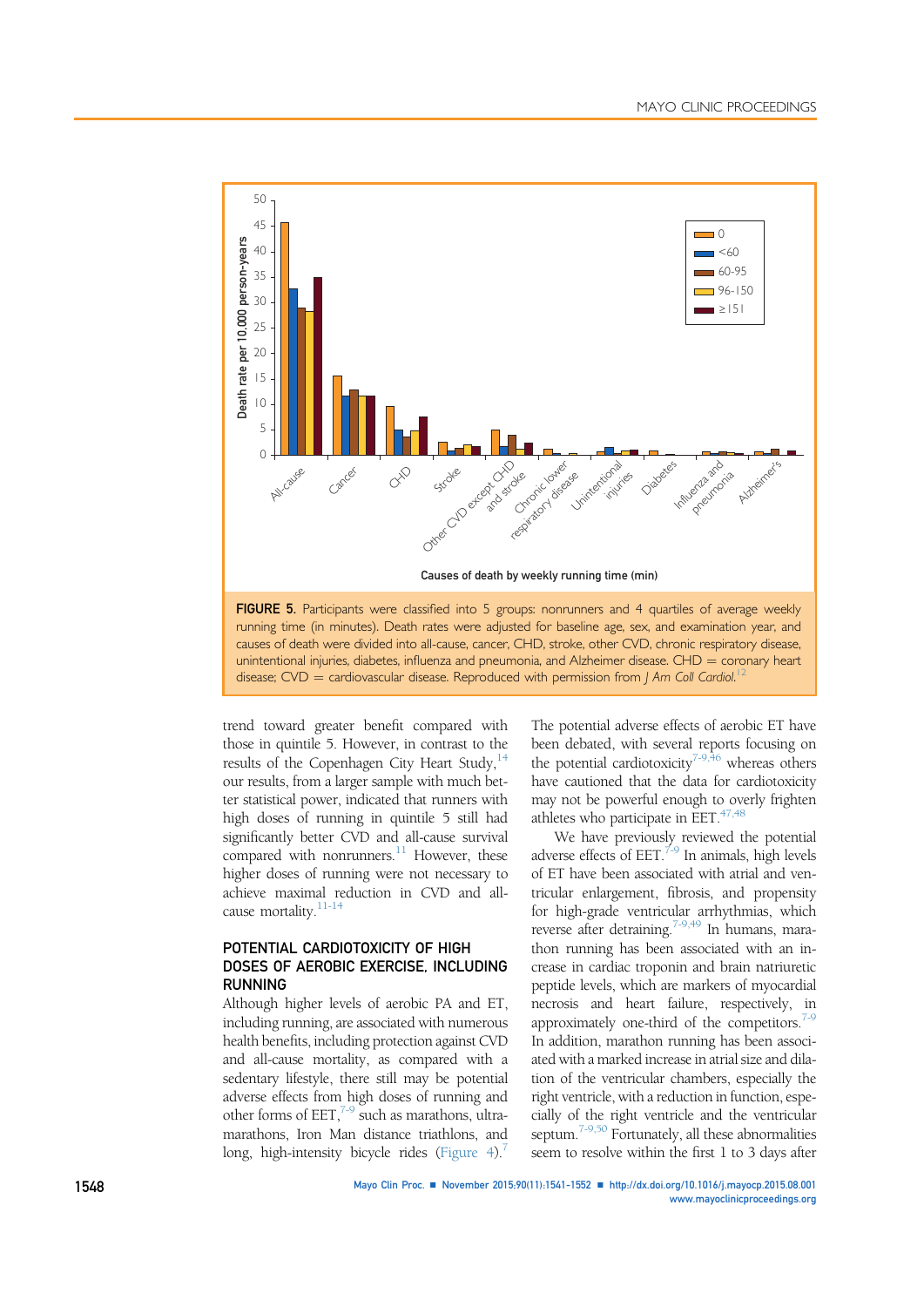

unintentional injuries, diabetes, influenza and pneumonia, and Alzheimer disease. CHD  $=$  coronary heart disease;  $CVD =$  cardiovascular disease. Reproduced with permission from J Am Coll Cardiol.<sup>12</sup>

trend toward greater benefit compared with those in quintile 5. However, in contrast to the results of the Copenhagen City Heart Study,  $14$ our results, from a larger sample with much better statistical power, indicated that runners with high doses of running in quintile 5 still had significantly better CVD and all-cause survival compared with nonrunners. $11$  However, these higher doses of running were not necessary to achieve maximal reduction in CVD and allcause mortality.11-14

## POTENTIAL CARDIOTOXICITY OF HIGH DOSES OF AEROBIC EXERCISE, INCLUDING RUNNING

Although higher levels of aerobic PA and ET, including running, are associated with numerous health benefits, including protection against CVD and all-cause mortality, as compared with a sedentary lifestyle, there still may be potential adverse effects from high doses of running and other forms of  $EET$ ,<sup>7-9</sup> such as marathons, ultramarathons, Iron Man distance triathlons, and long, high-intensity bicycle rides (Figure 4).<sup>7</sup>

The potential adverse effects of aerobic ET have been debated, with several reports focusing on the potential cardiotoxicity<sup>7-9,46</sup> whereas others have cautioned that the data for cardiotoxicity may not be powerful enough to overly frighten athletes who participate in EET.<sup>47,48</sup>

We have previously reviewed the potential adverse effects of EET. $^{7.9}$  In animals, high levels of ET have been associated with atrial and ventricular enlargement, fibrosis, and propensity for high-grade ventricular arrhythmias, which reverse after detraining.7-9,49 In humans, marathon running has been associated with an increase in cardiac troponin and brain natriuretic peptide levels, which are markers of myocardial necrosis and heart failure, respectively, in approximately one-third of the competitors. $1\frac{1}{9}$ In addition, marathon running has been associated with a marked increase in atrial size and dilation of the ventricular chambers, especially the right ventricle, with a reduction in function, especially of the right ventricle and the ventricular septum.<sup>7-9,50</sup> Fortunately, all these abnormalities seem to resolve within the first 1 to 3 days after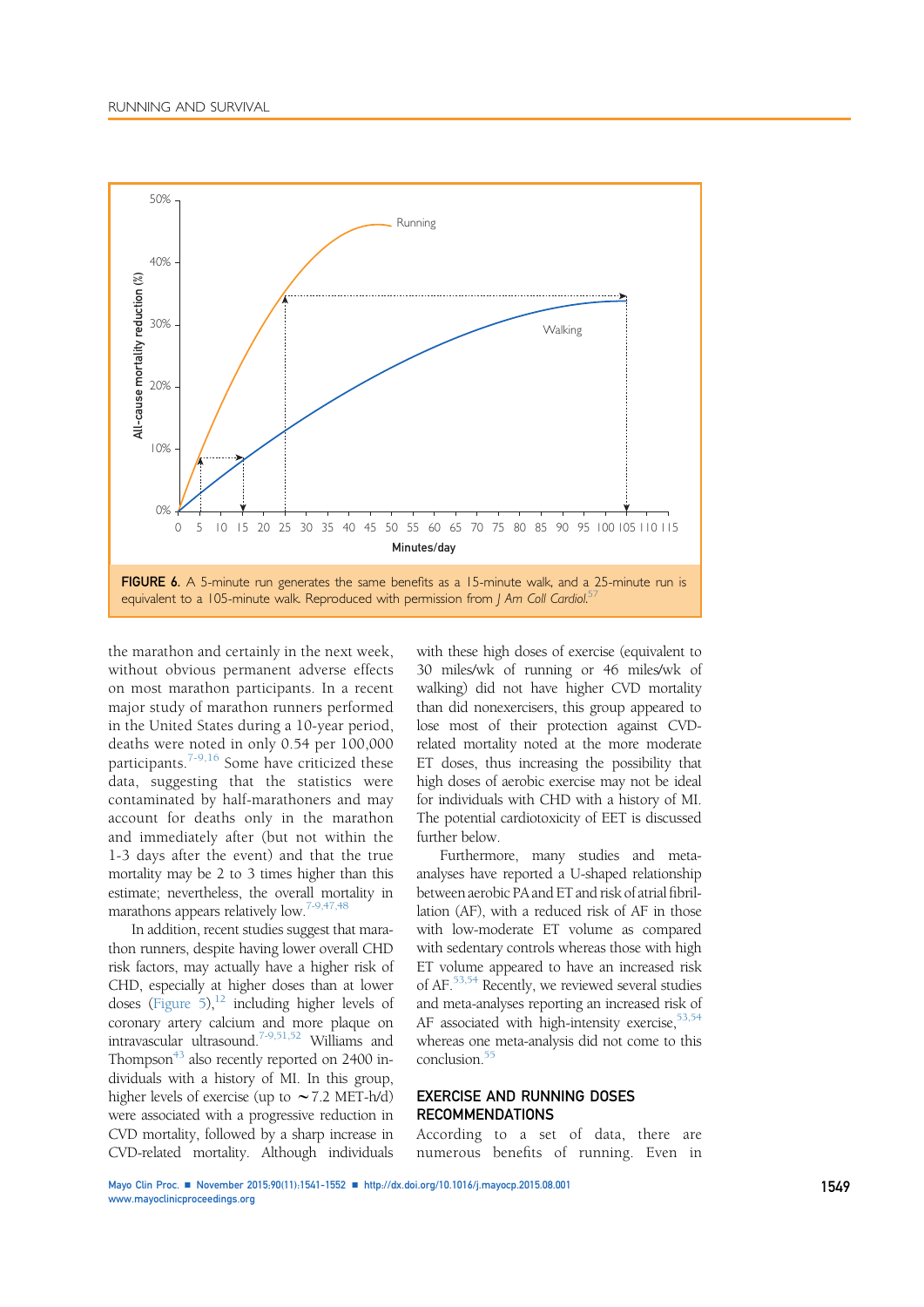

the marathon and certainly in the next week, without obvious permanent adverse effects on most marathon participants. In a recent major study of marathon runners performed in the United States during a 10-year period, deaths were noted in only 0.54 per 100,000 participants.<sup>7-9,16</sup> Some have criticized these data, suggesting that the statistics were contaminated by half-marathoners and may account for deaths only in the marathon and immediately after (but not within the 1-3 days after the event) and that the true mortality may be 2 to 3 times higher than this estimate; nevertheless, the overall mortality in marathons appears relatively low.<sup>7-9,47,48</sup>

In addition, recent studies suggest that marathon runners, despite having lower overall CHD risk factors, may actually have a higher risk of CHD, especially at higher doses than at lower doses (Figure 5), $^{12}$  including higher levels of coronary artery calcium and more plaque on intravascular ultrasound.7-9,51,52 Williams and Thompson<sup>43</sup> also recently reported on 2400 individuals with a history of MI. In this group, higher levels of exercise (up to  $\sim$  7.2 MET-h/d) were associated with a progressive reduction in CVD mortality, followed by a sharp increase in CVD-related mortality. Although individuals with these high doses of exercise (equivalent to 30 miles/wk of running or 46 miles/wk of walking) did not have higher CVD mortality than did nonexercisers, this group appeared to lose most of their protection against CVDrelated mortality noted at the more moderate ET doses, thus increasing the possibility that high doses of aerobic exercise may not be ideal for individuals with CHD with a history of MI. The potential cardiotoxicity of EET is discussed further below.

Furthermore, many studies and metaanalyses have reported a U-shaped relationship between aerobic PA and ET and risk of atrial fibrillation (AF), with a reduced risk of AF in those with low-moderate ET volume as compared with sedentary controls whereas those with high ET volume appeared to have an increased risk of AF.53,54 Recently, we reviewed several studies and meta-analyses reporting an increased risk of AF associated with high-intensity exercise, $53,54$ whereas one meta-analysis did not come to this conclusion.<sup>55</sup>

## EXERCISE AND RUNNING DOSES RECOMMENDATIONS

According to a set of data, there are numerous benefits of running. Even in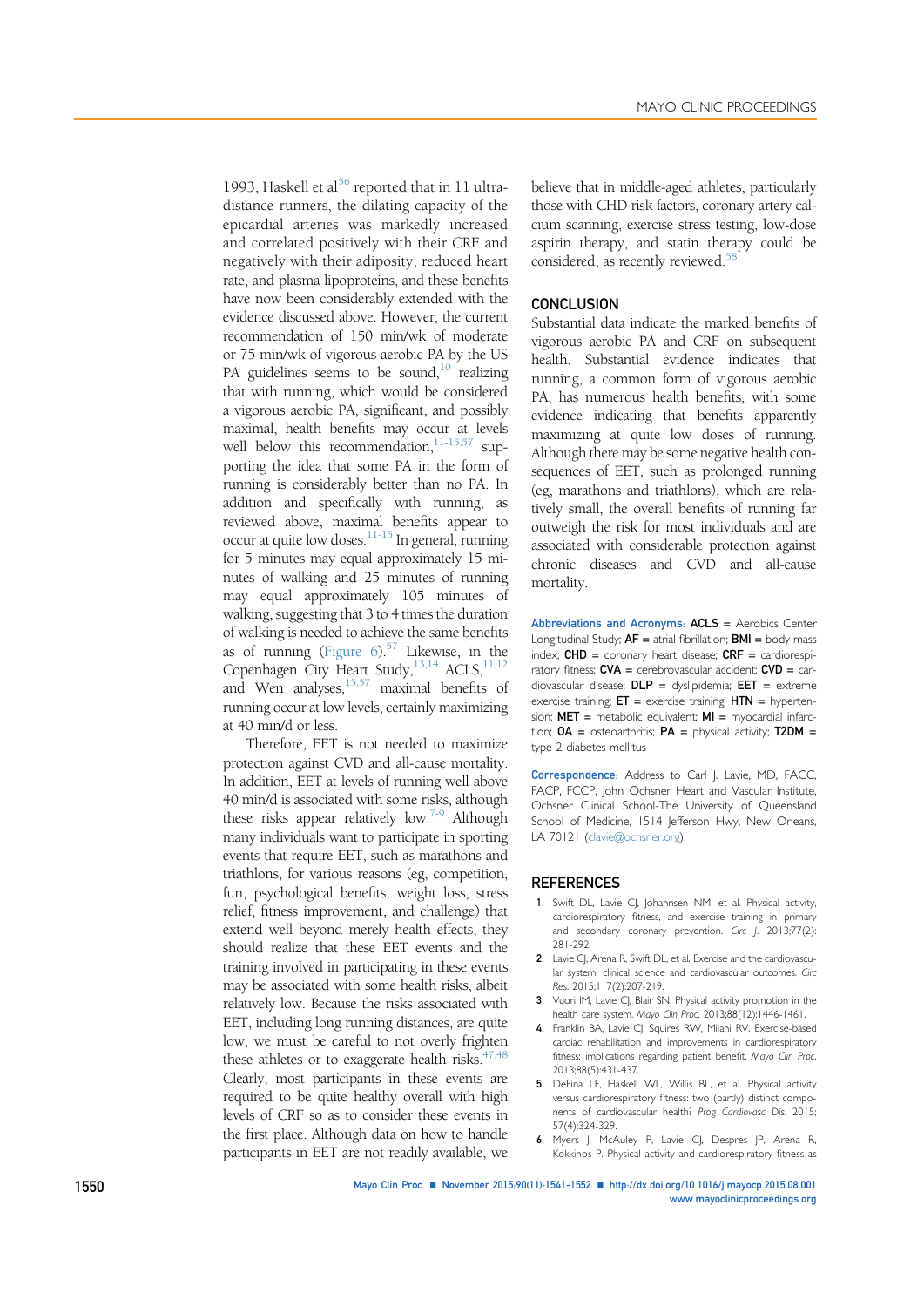1993, Haskell et al<sup>56</sup> reported that in 11 ultradistance runners, the dilating capacity of the epicardial arteries was markedly increased and correlated positively with their CRF and negatively with their adiposity, reduced heart rate, and plasma lipoproteins, and these benefits have now been considerably extended with the evidence discussed above. However, the current recommendation of 150 min/wk of moderate or 75 min/wk of vigorous aerobic PA by the US PA guidelines seems to be sound, $10$  realizing that with running, which would be considered a vigorous aerobic PA, significant, and possibly maximal, health benefits may occur at levels well below this recommendation, $11-15,57$  supporting the idea that some PA in the form of running is considerably better than no PA. In addition and specifically with running, as reviewed above, maximal benefits appear to occur at quite low doses.11-15 In general, running for 5 minutes may equal approximately 15 minutes of walking and 25 minutes of running may equal approximately 105 minutes of walking, suggesting that 3 to 4 times the duration of walking is needed to achieve the same benefits as of running (Figure  $6$ ).<sup>57</sup> Likewise, in the Copenhagen City Heart Study,<sup>13,14</sup> ACLS,<sup>11,12</sup> and Wen analyses,  $15,57$  maximal benefits of running occur at low levels, certainly maximizing at 40 min/d or less.

Therefore, EET is not needed to maximize protection against CVD and all-cause mortality. In addition, EET at levels of running well above 40 min/d is associated with some risks, although these risks appear relatively low.7-9 Although many individuals want to participate in sporting events that require EET, such as marathons and triathlons, for various reasons (eg, competition, fun, psychological benefits, weight loss, stress relief, fitness improvement, and challenge) that extend well beyond merely health effects, they should realize that these EET events and the training involved in participating in these events may be associated with some health risks, albeit relatively low. Because the risks associated with EET, including long running distances, are quite low, we must be careful to not overly frighten these athletes or to exaggerate health risks. $47,48$ Clearly, most participants in these events are required to be quite healthy overall with high levels of CRF so as to consider these events in the first place. Although data on how to handle participants in EET are not readily available, we

believe that in middle-aged athletes, particularly those with CHD risk factors, coronary artery calcium scanning, exercise stress testing, low-dose aspirin therapy, and statin therapy could be considered, as recently reviewed.<sup>58</sup>

### **CONCLUSION**

Substantial data indicate the marked benefits of vigorous aerobic PA and CRF on subsequent health. Substantial evidence indicates that running, a common form of vigorous aerobic PA, has numerous health benefits, with some evidence indicating that benefits apparently maximizing at quite low doses of running. Although there may be some negative health consequences of EET, such as prolonged running (eg, marathons and triathlons), which are relatively small, the overall benefits of running far outweigh the risk for most individuals and are associated with considerable protection against chronic diseases and CVD and all-cause mortality.

Abbreviations and Acronyms: ACLS = Aerobics Center Longitudinal Study;  $AF = \pi$ trial fibrillation;  $BMI =$  body mass index;  $CHD =$  coronary heart disease;  $CRF =$  cardiorespiratory fitness;  $CVA =$  cerebrovascular accident;  $CVD =$  cardiovascular disease;  $DLP =$  dyslipidemia;  $EET =$  extreme exercise training;  $ET =$  exercise training;  $HTN =$  hypertension;  $MET =$  metabolic equivalent;  $MI =$  myocardial infarction;  $OA =$  osteoarthritis;  $PA =$  physical activity;  $T2DM =$ type 2 diabetes mellitus

Correspondence: Address to Carl J. Lavie, MD, FACC, FACP, FCCP, John Ochsner Heart and Vascular Institute, Ochsner Clinical School-The University of Queensland School of Medicine, 1514 Jefferson Hwy, New Orleans, LA 70121 [\(clavie@ochsner.org](mailto:clavie@ochsner.org)).

#### **REFERENCES**

- 1. Swift DL, Lavie CJ, Johannsen NM, et al. Physical activity, cardiorespiratory fitness, and exercise training in primary and secondary coronary prevention. Circ J. 2013;77(2): 281-292.
- 2. Lavie CJ, Arena R, Swift DL, et al. Exercise and the cardiovascular system: clinical science and cardiovascular outcomes. Circ Res. 2015;117(2):207-219.
- 3. Vuori IM, Lavie CJ, Blair SN. Physical activity promotion in the health care system. Mayo Clin Proc. 2013;88(12):1446-1461.
- 4. Franklin BA, Lavie CJ, Squires RW, Milani RV. Exercise-based cardiac rehabilitation and improvements in cardiorespiratory fitness: implications regarding patient benefit. Mayo Clin Proc. 2013;88(5):431-437.
- 5. DeFina LF, Haskell WL, Willis BL, et al. Physical activity versus cardiorespiratory fitness: two (partly) distinct components of cardiovascular health? Prog Cardiovasc Dis. 2015; 57(4):324-329.
- 6. Myers J, McAuley P, Lavie CJ, Despres JP, Arena R, Kokkinos P. Physical activity and cardiorespiratory fitness as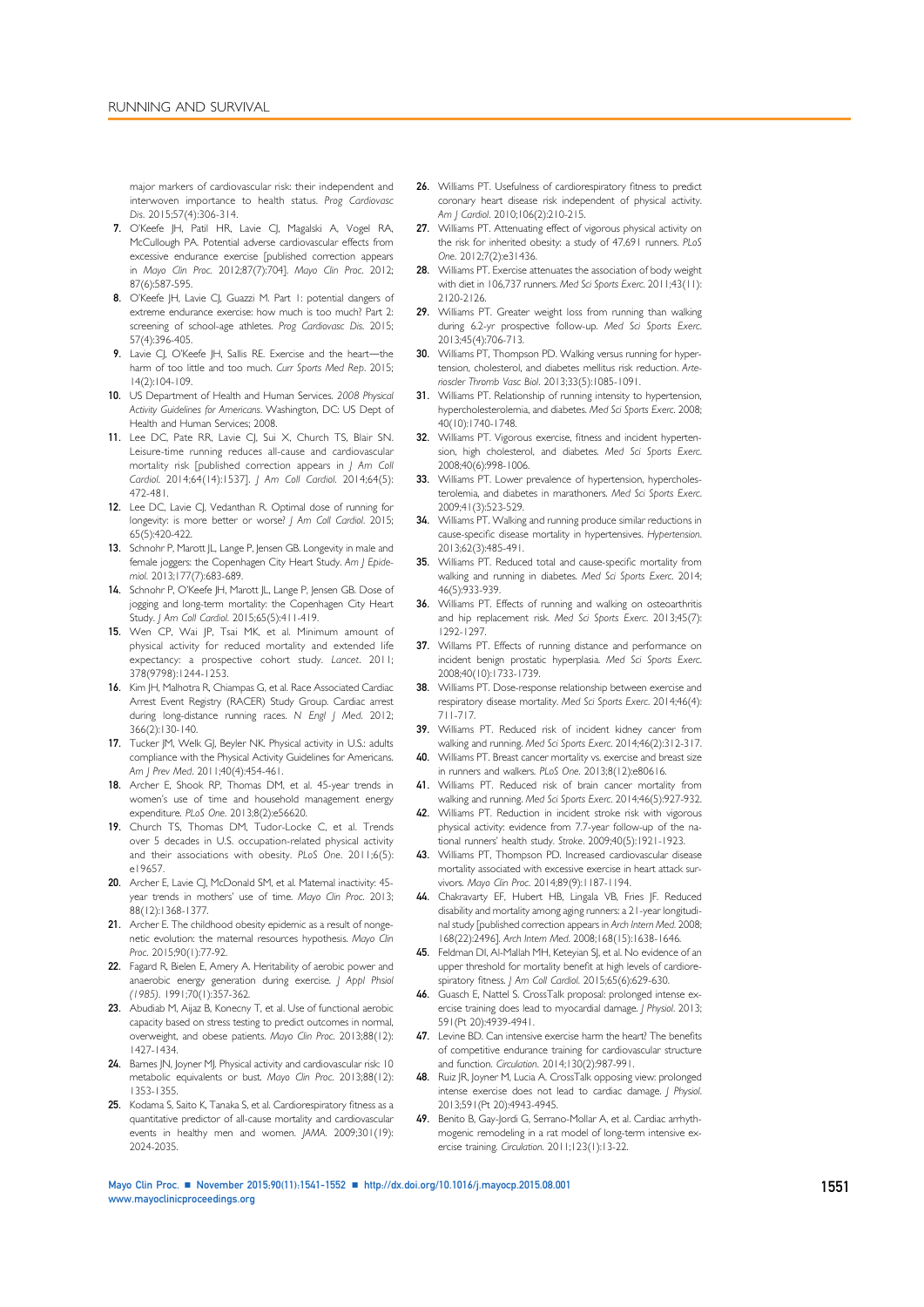major markers of cardiovascular risk: their independent and interwoven importance to health status. Prog Cardiovasc Dis. 2015;57(4):306-314.

- 7. O'Keefe JH, Patil HR, Lavie CJ, Magalski A, Vogel RA, McCullough PA. Potential adverse cardiovascular effects from excessive endurance exercise [published correction appears in Mayo Clin Proc. 2012;87(7):704]. Mayo Clin Proc. 2012; 87(6):587-595.
- 8. O'Keefe JH, Lavie CJ, Guazzi M. Part 1: potential dangers of extreme endurance exercise: how much is too much? Part 2: screening of school-age athletes. Prog Cardiovasc Dis. 2015; 57(4):396-405.
- 9. Lavie CJ, O'Keefe JH, Sallis RE. Exercise and the heart-the harm of too little and too much. Curr Sports Med Rep. 2015; 14(2):104-109.
- 10. US Department of Health and Human Services. 2008 Physical Activity Guidelines for Americans. Washington, DC: US Dept of Health and Human Services; 2008.
- 11. Lee DC, Pate RR, Lavie CJ, Sui X, Church TS, Blair SN. Leisure-time running reduces all-cause and cardiovascular mortality risk [published correction appears in J Am Coll Cardiol. 2014;64(14):1537]. J Am Coll Cardiol. 2014;64(5): 472-481.
- 12. Lee DC, Lavie CI, Vedanthan R, Optimal dose of running for longevity: is more better or worse? J Am Coll Cardiol. 2015; 65(5):420-422.
- 13. Schnohr P, Marott JL, Lange P, Jensen GB. Longevity in male and female joggers: the Copenhagen City Heart Study. Am J Epidemiol. 2013;177(7):683-689.
- 14. Schnohr P, O'Keefe JH, Marott JL, Lange P, Jensen GB. Dose of jogging and long-term mortality: the Copenhagen City Heart Study. J Am Coll Cardiol. 2015;65(5):411-419.
- 15. Wen CP, Wai JP, Tsai MK, et al. Minimum amount of physical activity for reduced mortality and extended life expectancy: a prospective cohort study. Lancet. 2011; 378(9798):1244-1253.
- 16. Kim JH, Malhotra R, Chiampas G, et al. Race Associated Cardiac Arrest Event Registry (RACER) Study Group. Cardiac arrest during long-distance running races. N Engl J Med. 2012; 366(2):130-140.
- 17. Tucker JM, Welk GJ, Beyler NK. Physical activity in U.S.: adults compliance with the Physical Activity Guidelines for Americans. Am J Prev Med. 2011;40(4):454-461.
- 18. Archer E, Shook RP, Thomas DM, et al. 45-year trends in women's use of time and household management energy expenditure. PLoS One. 2013;8(2):e56620.
- 19. Church TS, Thomas DM, Tudor-Locke C, et al. Trends over 5 decades in U.S. occupation-related physical activity and their associations with obesity. PLoS One. 2011;6(5): e19657.
- 20. Archer E, Lavie CJ, McDonald SM, et al. Maternal inactivity: 45year trends in mothers' use of time. Mayo Clin Proc. 2013: 88(12):1368-1377.
- 21. Archer E. The childhood obesity epidemic as a result of nongenetic evolution: the maternal resources hypothesis. Mayo Clin Proc. 2015;90(1):77-92.
- 22. Fagard R, Bielen E, Amery A. Heritability of aerobic power and anaerobic energy generation during exercise. J Appl Phsiol (1985). 1991;70(1):357-362.
- 23. Abudiab M, Aijaz B, Konecny T, et al. Use of functional aerobic capacity based on stress testing to predict outcomes in normal, overweight, and obese patients. Mayo Clin Proc. 2013;88(12): 1427-1434.
- 24. Barnes JN, Joyner MJ. Physical activity and cardiovascular risk: 10 metabolic equivalents or bust. Mayo Clin Proc. 2013;88(12): 1353-1355.
- 25. Kodama S, Saito K, Tanaka S, et al. Cardiorespiratory fitness as a quantitative predictor of all-cause mortality and cardiovascular events in healthy men and women. JAMA. 2009;301(19): 2024-2035.
- 26. Williams PT. Usefulness of cardiorespiratory fitness to predict coronary heart disease risk independent of physical activity. Am | Cardiol. 2010;106(2):210-215.
- 27. Williams PT. Attenuating effect of vigorous physical activity on the risk for inherited obesity: a study of 47,691 runners. PLoS One. 2012;7(2):e31436.
- 28. Williams PT. Exercise attenuates the association of body weight with diet in 106.737 runners. Med Sci Sports Exerc. 2011;43(11): 2120-2126.
- 29. Williams PT. Greater weight loss from running than walking during 6.2-yr prospective follow-up. Med Sci Sports Exerc. 2013;45(4):706-713.
- 30. Williams PT, Thompson PD. Walking versus running for hypertension, cholesterol, and diabetes mellitus risk reduction. Arterioscler Thromb Vasc Biol. 2013;33(5):1085-1091.
- 31. Williams PT. Relationship of running intensity to hypertension, hypercholesterolemia, and diabetes. Med Sci Sports Exerc. 2008; 40(10):1740-1748.
- 32. Williams PT. Vigorous exercise, fitness and incident hypertension, high cholesterol, and diabetes. Med Sci Sports Exerc. 2008;40(6):998-1006.
- 33. Williams PT. Lower prevalence of hypertension, hypercholesterolemia, and diabetes in marathoners. Med Sci Sports Exerc. 2009;41(3):523-529.
- 34. Williams PT. Walking and running produce similar reductions in cause-specific disease mortality in hypertensives. Hypertension. 2013;62(3):485-491.
- 35. Williams PT. Reduced total and cause-specific mortality from walking and running in diabetes. Med Sci Sports Exerc. 2014; 46(5):933-939.
- 36. Williams PT. Effects of running and walking on osteoarthritis and hip replacement risk. Med Sci Sports Exerc. 2013;45(7): 1292-1297.
- 37. Willams PT. Effects of running distance and performance on incident benign prostatic hyperplasia. Med Sci Sports Exerc. 2008;40(10):1733-1739.
- 38. Williams PT. Dose-response relationship between exercise and respiratory disease mortality. Med Sci Sports Exerc. 2014;46(4): 711-717.
- 39. Williams PT. Reduced risk of incident kidney cancer from walking and running. Med Sci Sports Exerc. 2014;46(2):312-317. 40. Williams PT. Breast cancer mortality vs. exercise and breast size
- in runners and walkers. PLoS One. 2013;8(12):e80616.
- 41. Williams PT. Reduced risk of brain cancer mortality from walking and running. Med Sci Sports Exerc. 2014;46(5):927-932.
- 42. Williams PT. Reduction in incident stroke risk with vigorous physical activity: evidence from 7.7-year follow-up of the national runners' health study. Stroke. 2009;40(5):1921-1923.
- 43. Williams PT, Thompson PD. Increased cardiovascular disease mortality associated with excessive exercise in heart attack survivors. Mayo Clin Proc. 2014;89(9):1187-1194.
- 44. Chakravarty EF, Hubert HB, Lingala VB, Fries JF. Reduced disability and mortality among aging runners: a 21-year longitudinal study [published correction appears in Arch Intern Med. 2008; 168(22):2496]. Arch Intern Med. 2008;168(15):1638-1646.
- 45. Feldman DI, Al-Mallah MH, Keteyian SJ, et al. No evidence of an upper threshold for mortality benefit at high levels of cardiorespiratory fitness. J Am Coll Cardiol. 2015;65(6):629-630.
- 46. Guasch E, Nattel S. CrossTalk proposal: prolonged intense exercise training does lead to myocardial damage. J Physiol. 2013; 591(Pt 20):4939-4941.
- 47. Levine BD. Can intensive exercise harm the heart? The benefits of competitive endurance training for cardiovascular structure and function. Circulation. 2014;130(2):987-991.
- 48. Ruiz JR, Joyner M, Lucia A. CrossTalk opposing view: prolonged intense exercise does not lead to cardiac damage. J Physiol. 2013;591(Pt 20):4943-4945.
- 49. Benito B, Gay-Jordi G, Serrano-Mollar A, et al. Cardiac arrhythmogenic remodeling in a rat model of long-term intensive exercise training. Circulation. 2011;123(1):13-22.